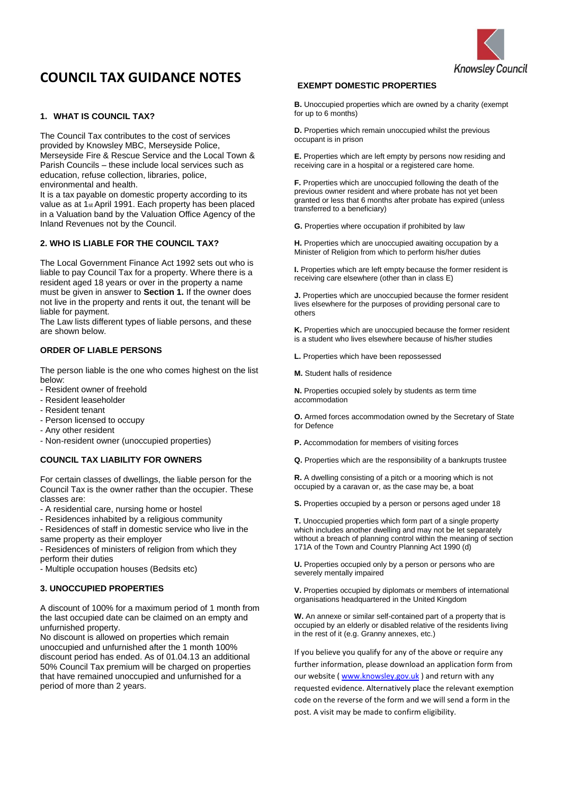

# **COUNCIL TAX GUIDANCE NOTES**

# **1. WHAT IS COUNCIL TAX?**

The Council Tax contributes to the cost of services provided by Knowsley MBC, Merseyside Police, Merseyside Fire & Rescue Service and the Local Town & Parish Councils – these include local services such as education, refuse collection, libraries, police, environmental and health.

It is a tax payable on domestic property according to its value as at 1st April 1991. Each property has been placed in a Valuation band by the Valuation Office Agency of the Inland Revenues not by the Council.

# **2. WHO IS LIABLE FOR THE COUNCIL TAX?**

The Local Government Finance Act 1992 sets out who is liable to pay Council Tax for a property. Where there is a resident aged 18 years or over in the property a name must be given in answer to **Section 1.** If the owner does not live in the property and rents it out, the tenant will be liable for payment.

The Law lists different types of liable persons, and these are shown below.

# **ORDER OF LIABLE PERSONS**

The person liable is the one who comes highest on the list below:

- Resident owner of freehold
- Resident leaseholder
- Resident tenant
- Person licensed to occupy
- Any other resident
- Non-resident owner (unoccupied properties)

#### **COUNCIL TAX LIABILITY FOR OWNERS**

For certain classes of dwellings, the liable person for the Council Tax is the owner rather than the occupier. These classes are:

- A residential care, nursing home or hostel
- Residences inhabited by a religious community

- Residences of staff in domestic service who live in the same property as their employer

- Residences of ministers of religion from which they perform their duties

- Multiple occupation houses (Bedsits etc)

# **3. UNOCCUPIED PROPERTIES**

A discount of 100% for a maximum period of 1 month from the last occupied date can be claimed on an empty and unfurnished property.

No discount is allowed on properties which remain unoccupied and unfurnished after the 1 month 100% discount period has ended. As of 01.04.13 an additional 50% Council Tax premium will be charged on properties that have remained unoccupied and unfurnished for a period of more than 2 years.

## **EXEMPT DOMESTIC PROPERTIES**

**B.** Unoccupied properties which are owned by a charity (exempt for up to 6 months)

**D.** Properties which remain unoccupied whilst the previous occupant is in prison

**E.** Properties which are left empty by persons now residing and receiving care in a hospital or a registered care home.

**F.** Properties which are unoccupied following the death of the previous owner resident and where probate has not yet been granted or less that 6 months after probate has expired (unless transferred to a beneficiary)

**G.** Properties where occupation if prohibited by law

**H.** Properties which are unoccupied awaiting occupation by a Minister of Religion from which to perform his/her duties

**I.** Properties which are left empty because the former resident is receiving care elsewhere (other than in class E)

**J.** Properties which are unoccupied because the former resident lives elsewhere for the purposes of providing personal care to others

**K.** Properties which are unoccupied because the former resident is a student who lives elsewhere because of his/her studies

**L.** Properties which have been repossessed

**M.** Student halls of residence

**N.** Properties occupied solely by students as term time accommodation

**O.** Armed forces accommodation owned by the Secretary of State for Defence

**P.** Accommodation for members of visiting forces

**Q.** Properties which are the responsibility of a bankrupts trustee

**R.** A dwelling consisting of a pitch or a mooring which is not occupied by a caravan or, as the case may be, a boat

**S.** Properties occupied by a person or persons aged under 18

**T.** Unoccupied properties which form part of a single property which includes another dwelling and may not be let separately without a breach of planning control within the meaning of section 171A of the Town and Country Planning Act 1990 (d)

**U.** Properties occupied only by a person or persons who are severely mentally impaired

**V.** Properties occupied by diplomats or members of international organisations headquartered in the United Kingdom

**W.** An annexe or similar self-contained part of a property that is occupied by an elderly or disabled relative of the residents living in the rest of it (e.g. Granny annexes, etc.)

If you believe you qualify for any of the above or require any further information, please download an application form from our website ( [www.knowsley.gov.uk](http://www.knowsley.gov.uk/) ) and return with any requested evidence. Alternatively place the relevant exemption code on the reverse of the form and we will send a form in the post. A visit may be made to confirm eligibility.